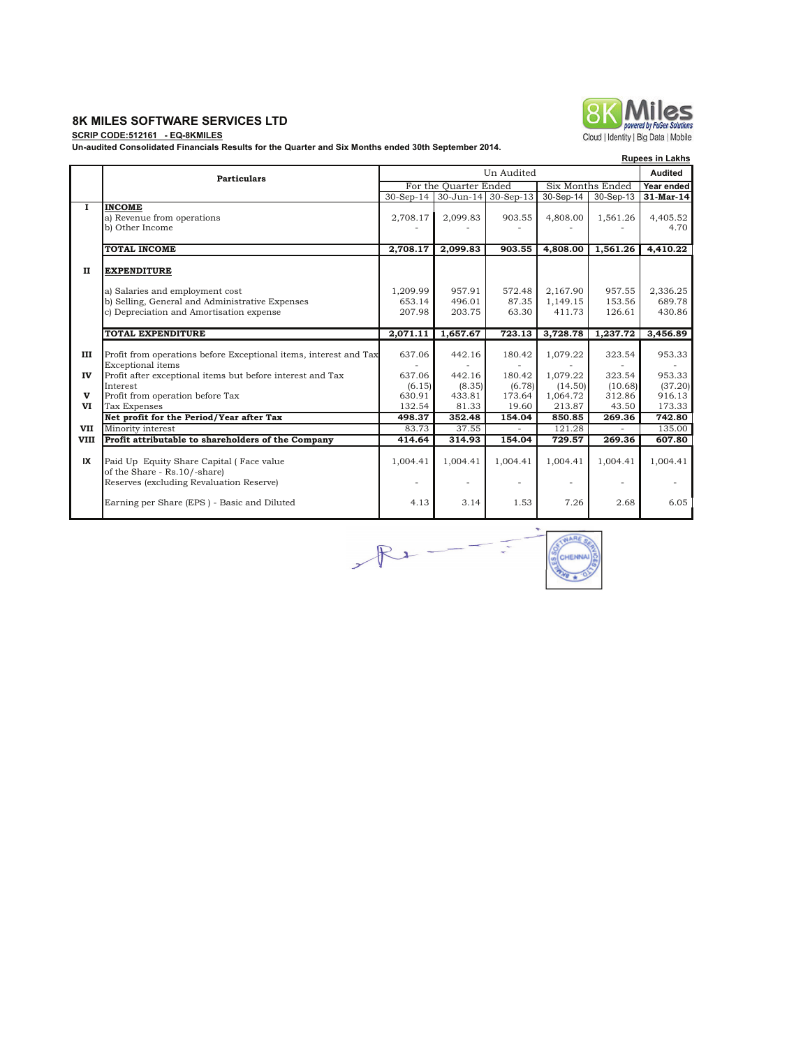## **8K MILES SOFTWARE SERVICES LTD**

#### **SCRIP CODE:512161 - EQ-8KMILES**

**Un-audited Consolidated Financials Results for the Quarter and Six Months ended 30th September 2014.**

|                    |                                                                                                                                                      |                              |                               |                           |                                      |                                      | <b>Rupees in Lakhs</b>       |
|--------------------|------------------------------------------------------------------------------------------------------------------------------------------------------|------------------------------|-------------------------------|---------------------------|--------------------------------------|--------------------------------------|------------------------------|
|                    | Un Audited<br><b>Particulars</b>                                                                                                                     |                              |                               |                           |                                      |                                      | Audited                      |
|                    |                                                                                                                                                      |                              | For the Quarter Ended         |                           |                                      | Six Months Ended                     | Year ended                   |
|                    |                                                                                                                                                      |                              | 30-Sep-14 30-Jun-14 30-Sep-13 |                           | 30-Sep-14                            | 30-Sep-13                            | 31-Mar-14                    |
| $\mathbf{I}$       | <b>INCOME</b><br>a) Revenue from operations<br>b) Other Income                                                                                       | 2,708.17                     | 2,099.83                      | 903.55                    | 4,808.00                             | 1,561.26                             | 4,405.52<br>4.70             |
|                    | <b>TOTAL INCOME</b>                                                                                                                                  | 2.708.17                     | 2.099.83                      | 903.55                    | 4,808.00                             | 1,561.26                             | 4,410.22                     |
| $\mathbf{I}$       | <b>EXPENDITURE</b><br>a) Salaries and employment cost<br>b) Selling, General and Administrative Expenses<br>c) Depreciation and Amortisation expense | 1,209.99<br>653.14<br>207.98 | 957.91<br>496.01<br>203.75    | 572.48<br>87.35<br>63.30  | 2,167.90<br>1,149.15<br>411.73       | 957.55<br>153.56<br>126.61           | 2,336.25<br>689.78<br>430.86 |
|                    |                                                                                                                                                      |                              |                               |                           |                                      |                                      |                              |
|                    | TOTAL EXPENDITURE                                                                                                                                    | 2,071.11                     | 1,657.67                      | 723.13                    | 3,728.78                             | 1,237.72                             | 3,456.89                     |
| Ш                  | Profit from operations before Exceptional items, interest and Tax<br>Exceptional items                                                               | 637.06                       | 442.16                        | 180.42<br>$\overline{a}$  | 1,079.22                             | 323.54<br>$\equiv$                   | 953.33                       |
| IV                 | Profit after exceptional items but before interest and Tax                                                                                           | 637.06                       | 442.16                        | 180.42                    | 1,079.22                             | 323.54                               | 953.33                       |
| $\mathbf{v}$<br>VI | Interest<br>Profit from operation before Tax<br><b>Tax Expenses</b>                                                                                  | (6.15)<br>630.91<br>132.54   | (8.35)<br>433.81<br>81.33     | (6.78)<br>173.64<br>19.60 | (14.50)<br>1,064.72<br>213.87        | (10.68)<br>312.86<br>43.50           | (37.20)<br>916.13<br>173.33  |
|                    | Net profit for the Period/Year after Tax                                                                                                             | 498.37                       | 352.48                        | 154.04                    | 850.85                               | 269.36                               | 742.80                       |
| VII                | Minority interest                                                                                                                                    | 83.73                        | 37.55                         | $\bar{a}$                 | 121.28                               | $\equiv$                             | 135.00                       |
| <b>VIII</b>        | Profit attributable to shareholders of the Company                                                                                                   | 414.64                       | 314.93                        | 154.04                    | 729.57                               | 269.36                               | 607.80                       |
| IX                 | Paid Up Equity Share Capital (Face value<br>of the Share - Rs. 10/-share)<br>Reserves (excluding Revaluation Reserve)                                | 1,004.41<br>۰                | 1,004.41<br>-                 | 1,004.41<br>۰             | 1,004.41<br>$\overline{\phantom{a}}$ | 1,004.41<br>$\overline{\phantom{a}}$ | 1,004.41                     |
|                    | Earning per Share (EPS) - Basic and Diluted                                                                                                          | 4.13                         | 3.14                          | 1.53                      | 7.26                                 | 2.68                                 | 6.05                         |



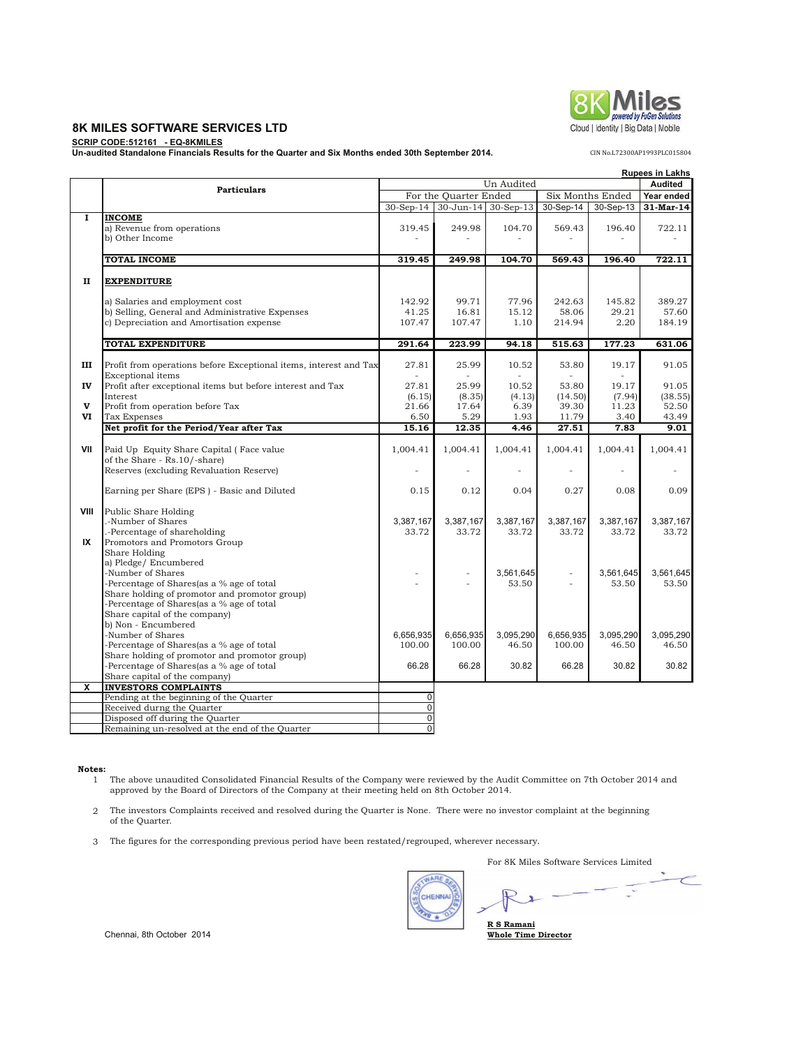### **8K MILES SOFTWARE SERVICES LTD**

**SCRIP CODE:512161 - EQ-8KMILES Un-audited Standalone Financials Results for the Quarter and Six Months ended 30th September 2014.**

|               |                                                                                                                                                                                                                                         | <b>Rupees in Lakhs</b>           |                                  |                                 |                                    |                                  |                                    |
|---------------|-----------------------------------------------------------------------------------------------------------------------------------------------------------------------------------------------------------------------------------------|----------------------------------|----------------------------------|---------------------------------|------------------------------------|----------------------------------|------------------------------------|
|               | Un Audited<br><b>Particulars</b>                                                                                                                                                                                                        |                                  |                                  |                                 |                                    |                                  |                                    |
|               |                                                                                                                                                                                                                                         |                                  | For the Quarter Ended            |                                 |                                    | Six Months Ended                 | Year ended                         |
|               |                                                                                                                                                                                                                                         |                                  | 30-Sep-14 30-Jun-14              | $30-Sep-13$                     | 30-Sep-14                          | 30-Sep-13                        | 31-Mar-14                          |
| 1             | <b>INCOME</b><br>a) Revenue from operations<br>b) Other Income                                                                                                                                                                          | 319.45                           | 249.98                           | 104.70                          | 569.43                             | 196.40                           | 722.11                             |
|               | <b>TOTAL INCOME</b>                                                                                                                                                                                                                     | 319.45                           | 249.98                           | 104.70                          | 569.43                             | 196.40                           | 722.11                             |
|               |                                                                                                                                                                                                                                         |                                  |                                  |                                 |                                    |                                  |                                    |
| п             | <b>EXPENDITURE</b>                                                                                                                                                                                                                      |                                  |                                  |                                 |                                    |                                  |                                    |
|               | a) Salaries and employment cost<br>b) Selling, General and Administrative Expenses<br>c) Depreciation and Amortisation expense                                                                                                          | 142.92<br>41.25<br>107.47        | 99.71<br>16.81<br>107.47         | 77.96<br>15.12<br>1.10          | 242.63<br>58.06<br>214.94          | 145.82<br>29.21<br>2.20          | 389.27<br>57.60<br>184.19          |
|               | <b>TOTAL EXPENDITURE</b>                                                                                                                                                                                                                | 291.64                           | 223.99                           | 94.18                           | 515.63                             | 177.23                           | 631.06                             |
| ш             | Profit from operations before Exceptional items, interest and Tax<br><b>Exceptional</b> items                                                                                                                                           | 27.81                            | 25.99                            | 10.52                           | 53.80                              | 19.17                            | 91.05                              |
| IV<br>v<br>VI | Profit after exceptional items but before interest and Tax<br>Interest<br>Profit from operation before Tax<br><b>Tax Expenses</b>                                                                                                       | 27.81<br>(6.15)<br>21.66<br>6.50 | 25.99<br>(8.35)<br>17.64<br>5.29 | 10.52<br>(4.13)<br>6.39<br>1.93 | 53.80<br>(14.50)<br>39.30<br>11.79 | 19.17<br>(7.94)<br>11.23<br>3.40 | 91.05<br>(38.55)<br>52.50<br>43.49 |
|               | Net profit for the Period/Year after Tax                                                                                                                                                                                                | 15.16                            | 12.35                            | 4.46                            | 27.51                              | 7.83                             | 9.01                               |
|               |                                                                                                                                                                                                                                         |                                  |                                  |                                 |                                    |                                  |                                    |
| VII           | Paid Up Equity Share Capital (Face value<br>of the Share - Rs.10/-share)<br>Reserves (excluding Revaluation Reserve)                                                                                                                    | 1,004.41                         | 1,004.41<br>ä,                   | 1,004.41                        | 1,004.41                           | 1,004.41                         | 1,004.41                           |
|               | Earning per Share (EPS) - Basic and Diluted                                                                                                                                                                                             | 0.15                             | 0.12                             | 0.04                            | 0.27                               | 0.08                             | 0.09                               |
| VIII<br>IX    | Public Share Holding<br>-Number of Shares<br>.-Percentage of shareholding<br>Promotors and Promotors Group                                                                                                                              | 3,387,167<br>33.72               | 3,387,167<br>33.72               | 3,387,167<br>33.72              | 3,387,167<br>33.72                 | 3,387,167<br>33.72               | 3,387,167<br>33.72                 |
|               | Share Holding<br>a) Pledge/ Encumbered<br>-Number of Shares<br>-Percentage of Shares(as a % age of total<br>Share holding of promotor and promotor group)<br>-Percentage of Shares(as a % age of total<br>Share capital of the company) | ٠                                | $\overline{a}$<br>÷.             | 3,561,645<br>53.50              |                                    | 3,561,645<br>53.50               | 3,561,645<br>53.50                 |
|               | b) Non - Encumbered<br>-Number of Shares<br>-Percentage of Shares(as a % age of total                                                                                                                                                   | 6,656,935<br>100.00              | 6,656,935<br>100.00              | 3,095,290<br>46.50              | 6,656,935<br>100.00                | 3,095,290<br>46.50               | 3,095,290<br>46.50                 |
|               | Share holding of promotor and promotor group)<br>-Percentage of Shares(as a % age of total<br>Share capital of the company)                                                                                                             | 66.28                            | 66.28                            | 30.82                           | 66.28                              | 30.82                            | 30.82                              |
| x             | <b>INVESTORS COMPLAINTS</b>                                                                                                                                                                                                             |                                  |                                  |                                 |                                    |                                  |                                    |
|               | Pending at the beginning of the Quarter                                                                                                                                                                                                 | $\overline{0}$                   |                                  |                                 |                                    |                                  |                                    |
|               | Received durng the Quarter                                                                                                                                                                                                              | $\overline{0}$                   |                                  |                                 |                                    |                                  |                                    |
|               | Disposed off during the Quarter                                                                                                                                                                                                         | $\overline{0}$                   |                                  |                                 |                                    |                                  |                                    |
|               | Remaining un-resolved at the end of the Quarter                                                                                                                                                                                         | $\overline{0}$                   |                                  |                                 |                                    |                                  |                                    |

 **Notes:**

- 1 The above unaudited Consolidated Financial Results of the Company were reviewed by the Audit Committee on 7th October 2014 and approved by the Board of Directors of the Company at their meeting held on 8th October 2014.
- 2 The investors Complaints received and resolved during the Quarter is None. There were no investor complaint at the beginning of the Quarter.
- 3 The figures for the corresponding previous period have been restated/regrouped, wherever necessary.

For 8K Miles Software Services Limited

 $\overline{\phantom{a}}$ **NARE OF**  $\left| \cdot \right|$ CHENNAL  $\mathbf{r}$ **R S Ramani Whole Time Director**

Chennai, 8th October 2014





CIN No.L72300AP1993PLC015804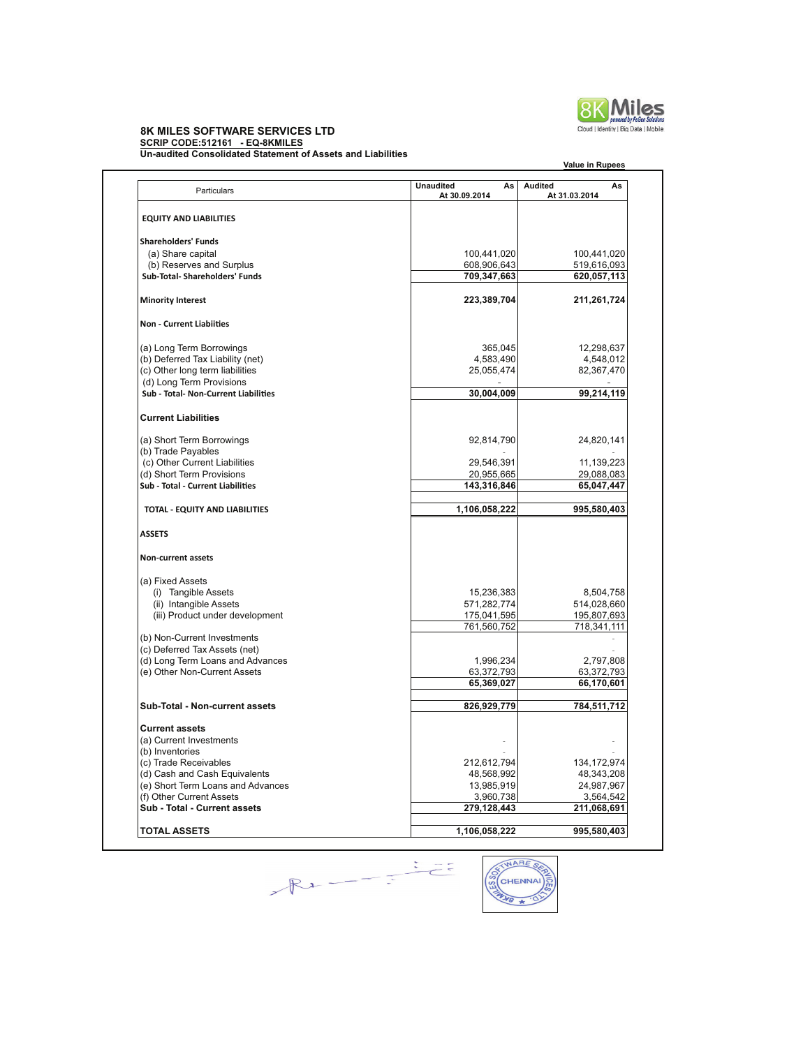

**Value in Rupees**

# **8K MILES SOFTWARE SERVICES LTD SCRIP CODE:512161 - EQ-8KMILES**

**Un-audited Consolidated Statement of Assets and Liabilities**

| Particulars                          | <b>Unaudited</b><br>As<br>At 30.09.2014 | Audited<br>As<br>At 31.03.2014 |
|--------------------------------------|-----------------------------------------|--------------------------------|
| <b>EQUITY AND LIABILITIES</b>        |                                         |                                |
| <b>Shareholders' Funds</b>           |                                         |                                |
| (a) Share capital                    | 100,441,020                             | 100,441,020                    |
| (b) Reserves and Surplus             | 608,906,643                             | 519,616,093                    |
| Sub-Total- Shareholders' Funds       | 709,347,663                             | 620,057,113                    |
| <b>Minority Interest</b>             | 223,389,704                             | 211,261,724                    |
| <b>Non - Current Liabiities</b>      |                                         |                                |
| (a) Long Term Borrowings             | 365,045                                 | 12,298,637                     |
| (b) Deferred Tax Liability (net)     | 4,583,490                               | 4,548,012                      |
| (c) Other long term liabilities      | 25,055,474                              | 82,367,470                     |
| (d) Long Term Provisions             |                                         |                                |
| Sub - Total- Non-Current Liabilities | 30,004,009                              | 99,214,119                     |
| <b>Current Liabilities</b>           |                                         |                                |
| (a) Short Term Borrowings            | 92,814,790                              | 24,820,141                     |
| (b) Trade Payables                   |                                         |                                |
| (c) Other Current Liabilities        | 29,546,391                              | 11,139,223                     |
| (d) Short Term Provisions            | 20,955,665                              | 29,088,083                     |
| Sub - Total - Current Liabilities    | 143,316,846                             | 65,047,447                     |
| TOTAL - EQUITY AND LIABILITIES       | 1,106,058,222                           | 995,580,403                    |
| <b>ASSETS</b>                        |                                         |                                |
| <b>Non-current assets</b>            |                                         |                                |
| (a) Fixed Assets                     |                                         |                                |
| (i) Tangible Assets                  | 15,236,383                              | 8,504,758                      |
| (ii) Intangible Assets               | 571,282,774                             | 514,028,660                    |
| (iii) Product under development      | 175,041,595                             | 195,807,693                    |
|                                      | 761,560,752                             | 718,341,111                    |
| (b) Non-Current Investments          |                                         |                                |
| (c) Deferred Tax Assets (net)        |                                         |                                |
| (d) Long Term Loans and Advances     | 1,996,234                               | 2,797,808                      |
| (e) Other Non-Current Assets         | 63,372,793                              | 63,372,793                     |
|                                      | 65,369,027                              | 66,170,601                     |
| Sub-Total - Non-current assets       | 826,929,779                             | 784,511,712                    |
| <b>Current assets</b>                |                                         |                                |
| (a) Current Investments              |                                         |                                |
| (b) Inventories                      |                                         |                                |
| (c) Trade Receivables                | 212,612,794                             | 134, 172, 974                  |
| (d) Cash and Cash Equivalents        | 48,568,992                              | 48,343,208                     |
| (e) Short Term Loans and Advances    | 13,985,919                              | 24,987,967                     |
| (f) Other Current Assets             | 3,960,738                               | 3,564,542                      |
| Sub - Total - Current assets         | 279,128,443                             | 211,068,691                    |
| <b>TOTAL ASSETS</b>                  | 1,106,058,222                           | 995,580,403                    |
|                                      |                                         |                                |



୕ଚ